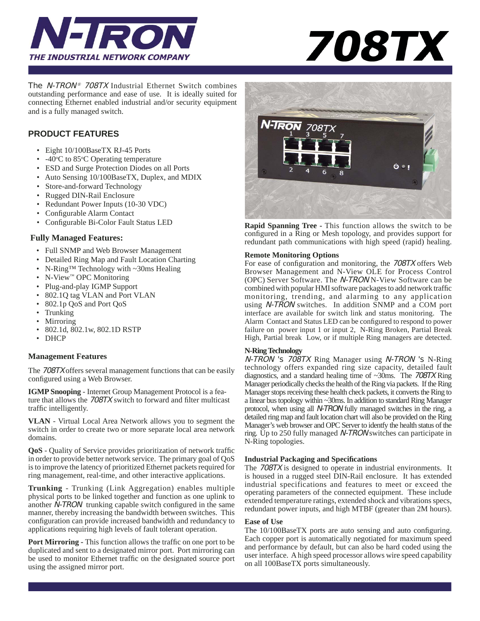



The *N-TRON® 708TX* Industrial Ethernet Switch combines outstanding performance and ease of use. It is ideally suited for connecting Ethernet enabled industrial and/or security equipment and is a fully managed switch.

## **PRODUCT FEATURES**

- Eight 10/100BaseTX RJ-45 Ports
- -40°C to 85°C Operating temperature
- ESD and Surge Protection Diodes on all Ports
- Auto Sensing 10/100BaseTX, Duplex, and MDIX
- Store-and-forward Technology
- Rugged DIN-Rail Enclosure
- Redundant Power Inputs (10-30 VDC)
- Configurable Alarm Contact
- Configurable Bi-Color Fault Status LED

#### **Fully Managed Features:**

- Full SNMP and Web Browser Management
- Detailed Ring Map and Fault Location Charting
- N-Ring<sup>TM</sup> Technology with ~30ms Healing
- N-View™ OPC Monitoring
- Plug-and-play IGMP Support
- 802.1Q tag VLAN and Port VLAN
- 802.1p QoS and Port QoS
- Trunking
- Mirroring
- 802.1d, 802.1w, 802.1D RSTP
- DHCP

#### **Management Features**

The 708TX offers several management functions that can be easily configured using a Web Browser.

**IGMP Snooping** - Internet Group Management Protocol is a feature that allows the 708TX switch to forward and filter multicast traffic intelligently.

**VLAN** - Virtual Local Area Network allows you to segment the switch in order to create two or more separate local area network domains.

**QoS** - Quality of Service provides prioritization of network traffic in order to provide better network service. The primary goal of QoS is to improve the latency of prioritized Ethernet packets required for ring management, real-time, and other interactive applications.

**Trunking** - Trunking (Link Aggregation) enables multiple physical ports to be linked together and function as one uplink to another N-TRON trunking capable switch configured in the same manner, thereby increasing the bandwidth between switches. This configuration can provide increased bandwidth and redundancy to applications requiring high levels of fault tolerant operation.

**Port Mirroring - This function allows the traffic on one port to be** duplicated and sent to a designated mirror port. Port mirroring can be used to monitor Ethernet traffic on the designated source port using the assigned mirror port.



**Rapid Spanning Tree -** This function allows the switch to be configured in a Ring or Mesh topology, and provides support for redundant path communications with high speed (rapid) healing.

#### **Remote Monitoring Options**

For ease of configuration and monitoring, the 708TX offers Web Browser Management and N-View OLE for Process Control (OPC) Server Software. The N-TRON N-View Software can be combined with popular HMI software packages to add network traffic monitoring, trending, and alarming to any application using N-TRON switches. In addition SNMP and a COM port interface are available for switch link and status monitoring. The Alarm Contact and Status LED can be configured to respond to power failure on power input 1 or input 2, N-Ring Broken, Partial Break High, Partial break Low, or if multiple Ring managers are detected.

#### **N-Ring Technology**

N-TRON 's 708TX Ring Manager using N-TRON 's N-Ring technology offers expanded ring size capacity, detailed fault diagnostics, and a standard healing time of ~30ms. The 708TX Ring Manager periodically checks the health of the Ring via packets. If the Ring Manager stops receiving these health check packets, it converts the Ring to a linear bus topology within ~30ms. In addition to standard Ring Manager protocol, when using all N-TRON fully managed switches in the ring, a detailed ring map and fault location chart will also be provided on the Ring Manager's web browser and OPC Server to identfy the health status of the ring. Up to 250 fully managed N-TRON switches can participate in N-Ring topologies.

#### **Industrial Packaging and Specifi cations**

The 708TX is designed to operate in industrial environments. It is housed in a rugged steel DIN-Rail enclosure. It has extended industrial specifications and features to meet or exceed the operating parameters of the connected equipment. These include extended temperature ratings, extended shock and vibrations specs, redundant power inputs, and high MTBF (greater than 2M hours).

#### **Ease of Use**

The 10/100BaseTX ports are auto sensing and auto configuring. Each copper port is automatically negotiated for maximum speed and performance by default, but can also be hard coded using the user interface. A high speed processor allows wire speed capability on all 100BaseTX ports simultaneously.